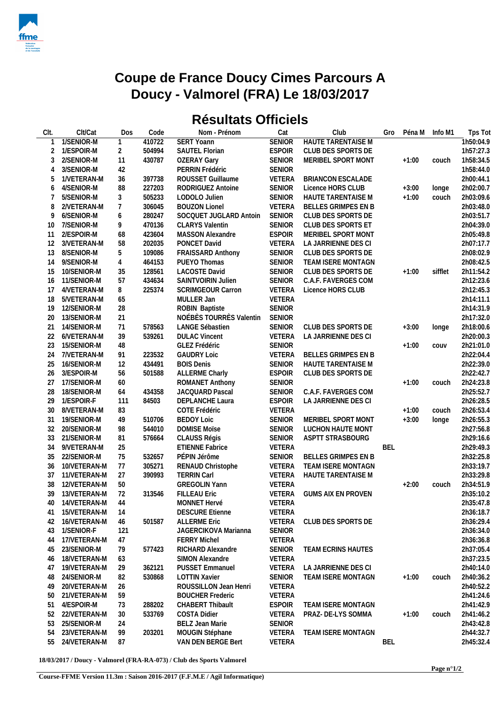

## **Coupe de France Doucy Cimes Parcours A Doucy - Valmorel (FRA) Le 18/03/2017**

## **Résultats Officiels**

| CIt.           | Clt/Cat                   | Dos            | Code             | Nom - Prénom                              | Cat                            | Club                       | Gro        | Péna M  | Info M1 | Tps Tot   |
|----------------|---------------------------|----------------|------------------|-------------------------------------------|--------------------------------|----------------------------|------------|---------|---------|-----------|
|                | 1/SENIOR-M                | $\mathbf{1}$   | 410722           | <b>SERT Yoann</b>                         | <b>SENIOR</b>                  | <b>HAUTE TARENTAISE M</b>  |            |         |         | 1h50:04.9 |
| 2              | 1/ESPOIR-M                | 2              | 504994           | SAUTEL Florian                            | <b>ESPOIR</b>                  | CLUB DES SPORTS DE         |            |         |         | 1h57:27.3 |
| 3              | 2/SENIOR-M                | 11             | 430787           | <b>OZERAY Gary</b>                        | <b>SENIOR</b>                  | MERIBEL SPORT MONT         |            | $+1:00$ | couch   | 1h58:34.5 |
| $\overline{4}$ | 3/SENIOR-M                | 42             |                  | PERRIN Frédéric                           | <b>SENIOR</b>                  |                            |            |         |         | 1h58:44.0 |
| 5              | 1/VETERAN-M               | 36             | 397738           | ROUSSET Guillaume                         | <b>VETERA</b>                  | <b>BRIANCON ESCALADE</b>   |            |         |         | 2h00:44.1 |
| 6              | 4/SENIOR-M                | 88             | 227203           | RODRIGUEZ Antoine                         | <b>SENIOR</b>                  | Licence HORS CLUB          |            | $+3:00$ | longe   | 2h02:00.7 |
| 7              | 5/SENIOR-M                | 3              | 505233           | LODOLO Julien                             | <b>SENIOR</b>                  | <b>HAUTE TARENTAISE M</b>  |            | $+1:00$ | couch   | 2h03:09.6 |
| 8              | 2/VETERAN-M               | $\overline{7}$ | 306045           | <b>BOUZON Lionel</b>                      | <b>VETERA</b>                  | BELLES GRIMPES EN B        |            |         |         | 2h03:48.0 |
| 9              | 6/SENIOR-M                | 6              | 280247           | SOCQUET JUGLARD Antoin                    | <b>SENIOR</b>                  | CLUB DES SPORTS DE         |            |         |         | 2h03:51.7 |
| 10             | 7/SENIOR-M                | 9              | 470136           | <b>CLARYS Valentin</b>                    | <b>SENIOR</b>                  | CLUB DES SPORTS ET         |            |         |         | 2h04:39.0 |
| 11             | 2/ESPOIR-M                | 68             | 423604           | MASSON Alexandre                          | <b>ESPOIR</b>                  | MERIBEL SPORT MONT         |            |         |         | 2h05:49.8 |
| 12             | 3/VETERAN-M               | 58             | 202035           | PONCET David                              | <b>VETERA</b>                  | LA JARRIENNE DES CI        |            |         |         | 2h07:17.7 |
| 13             | 8/SENIOR-M                | 5              | 109086           | <b>FRAISSARD Anthony</b>                  | <b>SENIOR</b>                  | CLUB DES SPORTS DE         |            |         |         | 2h08:02.9 |
| 14             | 9/SENIOR-M                | $\sqrt{4}$     | 464153           | PUEYO Thomas                              | <b>SENIOR</b>                  | TEAM ISERE MONTAGN         |            |         |         | 2h08:42.5 |
| 15             | 10/SENIOR-M               | 35             | 128561           | LACOSTE David                             | SENIOR                         | CLUB DES SPORTS DE         |            | $+1:00$ | sifflet | 2h11:54.2 |
| 16             | 11/SENIOR-M               | 57             | 434634           | SAINTVOIRIN Julien                        | SENIOR                         | C.A.F. FAVERGES COM        |            |         |         | 2h12:23.6 |
| 17             | 4/VETERAN-M               | 8              | 225374           | <b>SCRIMGEOUR Carron</b>                  | VETERA                         | Licence HORS CLUB          |            |         |         | 2h12:45.3 |
| 18             | 5/VETERAN-M               | 65             |                  | MULLER Jan                                | <b>VETERA</b>                  |                            |            |         |         | 2h14:11.1 |
|                |                           | 28             |                  |                                           | SENIOR                         |                            |            |         |         | 2h14:31.9 |
| 19             | 12/SENIOR-M               |                |                  | ROBIN Baptiste<br>NOÉBÈS TOURRÈS Valentin |                                |                            |            |         |         |           |
| 20             | 13/SENIOR-M               | 21             |                  | LANGE Sébastien                           | <b>SENIOR</b><br><b>SENIOR</b> |                            |            |         |         | 2h17:32.0 |
| 21             | 14/SENIOR-M               | 71             | 578563           |                                           |                                | CLUB DES SPORTS DE         |            | $+3:00$ | longe   | 2h18:00.6 |
| 22             | 6/VETERAN-M               | 39             | 539261           | <b>DULAC Vincent</b>                      | <b>VETERA</b>                  | LA JARRIENNE DES CI        |            |         |         | 2h20:00.3 |
| 23             | 15/SENIOR-M               | 48             |                  | GLEZ Frédéric                             | <b>SENIOR</b>                  |                            |            | $+1:00$ | COUV    | 2h21:01.0 |
| 24             | 7/VETERAN-M               | 91             | 223532           | <b>GAUDRY Loic</b>                        | VETERA                         | <b>BELLES GRIMPES EN B</b> |            |         |         | 2h22:04.4 |
| 25             | 16/SENIOR-M<br>3/ESPOIR-M | 12             | 434491<br>501588 | <b>BOIS Denis</b>                         | <b>SENIOR</b>                  | HAUTE TARENTAISE M         |            |         |         | 2h22:39.0 |
| 26             |                           | 56             |                  | <b>ALLERME Charly</b>                     | <b>ESPOIR</b>                  | CLUB DES SPORTS DE         |            |         |         | 2h22:42.7 |
| 27             | 17/SENIOR-M               | 60             |                  | ROMANET Anthony                           | <b>SENIOR</b>                  |                            |            | $+1:00$ | couch   | 2h24:23.8 |
| 28             | 18/SENIOR-M               | 64             | 434358           | JACQUARD Pascal                           | SENIOR                         | C.A.F. FAVERGES COM        |            |         |         | 2h25:52.7 |
| 29             | 1/ESPOIR-F                | 111            | 84503            | DEPLANCHE Laura                           | <b>ESPOIR</b>                  | LA JARRIENNE DES CI        |            |         |         | 2h26:28.5 |
| 30             | 8/VETERAN-M               | 83             |                  | COTE Frédéric                             | <b>VETERA</b>                  |                            |            | $+1:00$ | couch   | 2h26:53.4 |
| 31             | 19/SENIOR-M               | 49             | 510706           | <b>BEDOY Loic</b>                         | <b>SENIOR</b>                  | MERIBEL SPORT MONT         |            | $+3:00$ | longe   | 2h26:55.3 |
| 32             | 20/SENIOR-M               | 98             | 544010           | <b>DOMISE Moïse</b>                       | <b>SENIOR</b>                  | LUCHON HAUTE MONT          |            |         |         | 2h27:56.8 |
| 33             | 21/SENIOR-M               | 81             | 576664           | CLAUSS Régis                              | <b>SENIOR</b>                  | ASPTT STRASBOURG           |            |         |         | 2h29:16.6 |
| 34             | 9/VETERAN-M               | 25             |                  | <b>ETIENNE Fabrice</b>                    | <b>VETERA</b>                  |                            | <b>BEL</b> |         |         | 2h29:49.3 |
| 35             | 22/SENIOR-M               | 75             | 532657           | PÉPIN Jérôme                              | SENIOR                         | <b>BELLES GRIMPES EN B</b> |            |         |         | 2h32:25.8 |
| 36             | 10/VETERAN-M              | 77             | 305271           | RENAUD Christophe                         | VETERA                         | TEAM ISERE MONTAGN         |            |         |         | 2h33:19.7 |
| 37             | 11/VETERAN-M              | 27             | 390993           | <b>TERRIN Carl</b>                        | VETERA                         | HAUTE TARENTAISE M         |            |         |         | 2h33:29.8 |
| 38             | 12/VETERAN-M              | 50             |                  | GREGOLIN Yann                             | VETERA                         |                            |            | $+2:00$ | couch   | 2h34:51.9 |
| 39             | 13/VETERAN-M              | 72             | 313546           | <b>FILLEAU Eric</b>                       | VETERA                         | <b>GUMS AIX EN PROVEN</b>  |            |         |         | 2h35:10.2 |
|                | 40 14/VETERAN-M           | 44             |                  | MONNET Hervé                              | VETERA                         |                            |            |         |         | 2h35:47.8 |
| 41             | 15/VETERAN-M              | 14             |                  | <b>DESCURE Etienne</b>                    | <b>VETERA</b>                  |                            |            |         |         | 2h36:18.7 |
| 42             | 16/VETERAN-M              | 46             | 501587           | <b>ALLERME Eric</b>                       | <b>VETERA</b>                  | CLUB DES SPORTS DE         |            |         |         | 2h36:29.4 |
| 43             | 1/SENIOR-F                | 121            |                  | JAGERCIKOVA Marianna                      | <b>SENIOR</b>                  |                            |            |         |         | 2h36:34.0 |
| 44             | 17/VETERAN-M              | 47             |                  | <b>FERRY Michel</b>                       | <b>VETERA</b>                  |                            |            |         |         | 2h36:36.8 |
| 45             | 23/SENIOR-M               | 79             | 577423           | RICHARD Alexandre                         | <b>SENIOR</b>                  | TEAM ECRINS HAUTES         |            |         |         | 2h37:05.4 |
| 46             | 18/VETERAN-M              | 63             |                  | SIMON Alexandre                           | <b>VETERA</b>                  |                            |            |         |         | 2h37:23.5 |
| 47             | 19/VETERAN-M              | 29             | 362121           | <b>PUSSET Emmanuel</b>                    | VETERA                         | LA JARRIENNE DES CI        |            |         |         | 2h40:14.0 |
| 48             | 24/SENIOR-M               | 82             | 530868           | <b>LOTTIN Xavier</b>                      | SENIOR                         | TEAM ISERE MONTAGN         |            | $+1:00$ | couch   | 2h40:36.2 |
| 49             | 20/VETERAN-M              | 26             |                  | ROUSSILLON Jean Henri                     | VETERA                         |                            |            |         |         | 2h40:52.2 |
| 50             | 21/VETERAN-M              | 59             |                  | <b>BOUCHER Frederic</b>                   | VETERA                         |                            |            |         |         | 2h41:24.6 |
| 51             | 4/ESPOIR-M                | 73             | 288202           | CHABERT Thibault                          | <b>ESPOIR</b>                  | TEAM ISERE MONTAGN         |            |         |         | 2h41:42.9 |
| 52             | 22/VETERAN-M              | 30             | 533769           | COSTA Didier                              | VETERA                         | PRAZ- DE-LYS SOMMA         |            | $+1:00$ | couch   | 2h41:46.2 |
| 53             | 25/SENIOR-M               | 24             |                  | BELZ Jean Marie                           | <b>SENIOR</b>                  |                            |            |         |         | 2h43:42.8 |
| 54             | 23/VETERAN-M              | 99             | 203201           | MOUGIN Stéphane                           | VETERA                         | TEAM ISERE MONTAGN         |            |         |         | 2h44:32.7 |
| 55             | 24/VETERAN-M              | 87             |                  | VAN DEN BERGE Bert                        | VETERA                         |                            | <b>BEL</b> |         |         | 2h45:32.4 |
|                |                           |                |                  |                                           |                                |                            |            |         |         |           |

**18/03/2017 / Doucy - Valmorel (FRA-RA-073) / Club des Sports Valmorel**